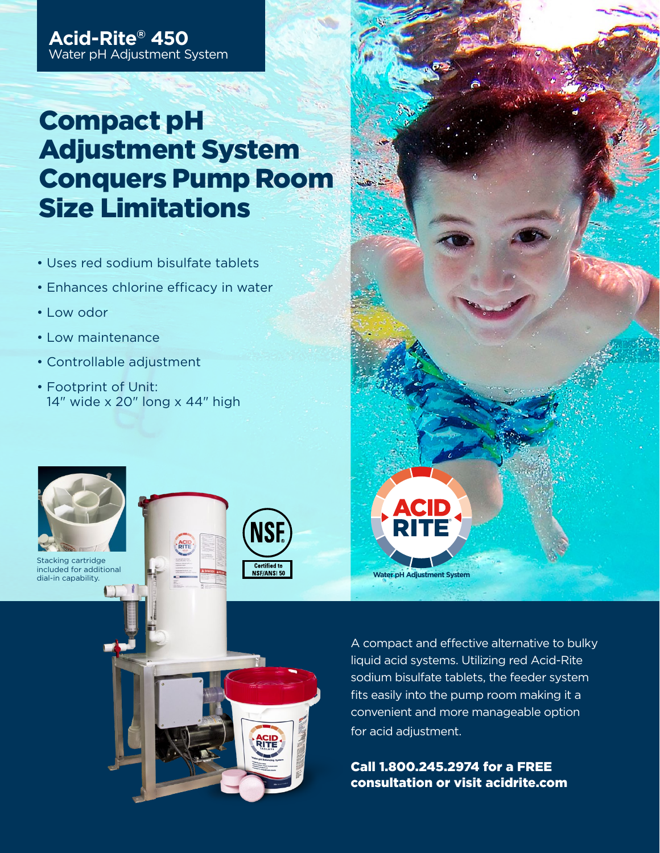# Compact pH Adjustment System Conquers Pump Room Size Limitations

- Uses red sodium bisulfate tablets
- Enhances chlorine efficacy in water
- Low odor
- Low maintenance
- Controllable adjustment
- Footprint of Unit: 14" wide x 20" long x 44" high



Stacking cartridge included for additional dial-in capability.







A compact and effective alternative to bulky liquid acid systems. Utilizing red Acid-Rite sodium bisulfate tablets, the feeder system fits easily into the pump room making it a convenient and more manageable option for acid adjustment.

Call 1.800.245.2974 for a FREE consultation or visit acidrite.com